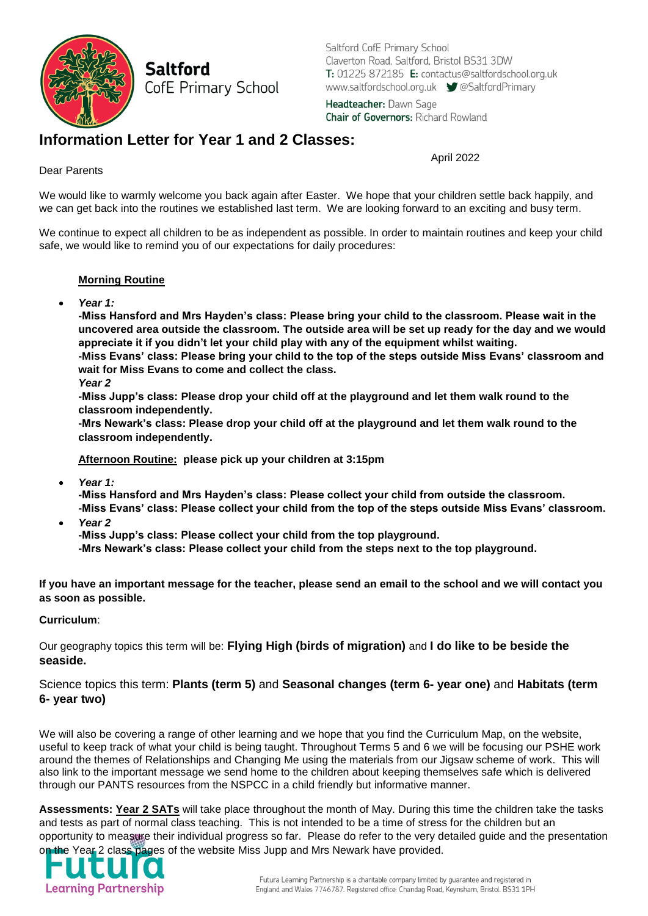

Saltford CofE Primary School Claverton Road, Saltford, Bristol BS31 3DW T: 01225 872185 E: contactus@saltfordschool.org.uk www.saltfordschool.org.uk <br>
SaltfordPrimary

Headteacher: Dawn Sage **Chair of Governors: Richard Rowland** 

## **Information Letter for Year 1 and 2 Classes:**

April 2022

## Dear Parents

We would like to warmly welcome you back again after Easter. We hope that your children settle back happily, and we can get back into the routines we established last term. We are looking forward to an exciting and busy term.

We continue to expect all children to be as independent as possible. In order to maintain routines and keep your child safe, we would like to remind you of our expectations for daily procedures:

## **Morning Routine**

*Year 1:*

**-Miss Hansford and Mrs Hayden's class: Please bring your child to the classroom. Please wait in the uncovered area outside the classroom. The outside area will be set up ready for the day and we would appreciate it if you didn't let your child play with any of the equipment whilst waiting.** 

**-Miss Evans' class: Please bring your child to the top of the steps outside Miss Evans' classroom and wait for Miss Evans to come and collect the class.** 

*Year 2*

**-Miss Jupp's class: Please drop your child off at the playground and let them walk round to the classroom independently.** 

**-Mrs Newark's class: Please drop your child off at the playground and let them walk round to the classroom independently.** 

**Afternoon Routine: please pick up your children at 3:15pm**

*Year 1:*

**-Miss Hansford and Mrs Hayden's class: Please collect your child from outside the classroom. -Miss Evans' class: Please collect your child from the top of the steps outside Miss Evans' classroom.**

- *Year 2*
	- **-Miss Jupp's class: Please collect your child from the top playground.**

**-Mrs Newark's class: Please collect your child from the steps next to the top playground.**

**If you have an important message for the teacher, please send an email to the school and we will contact you as soon as possible.** 

**Curriculum**:

Our geography topics this term will be: **Flying High (birds of migration)** and **I do like to be beside the seaside.**

Science topics this term: **Plants (term 5)** and **Seasonal changes (term 6- year one)** and **Habitats (term 6- year two)**

We will also be covering a range of other learning and we hope that you find the Curriculum Map, on the website, useful to keep track of what your child is being taught. Throughout Terms 5 and 6 we will be focusing our PSHE work around the themes of Relationships and Changing Me using the materials from our Jigsaw scheme of work. This will also link to the important message we send home to the children about keeping themselves safe which is delivered through our PANTS resources from the NSPCC in a child friendly but informative manner.

**Assessments: Year 2 SATs** will take place throughout the month of May. During this time the children take the tasks and tests as part of normal class teaching. This is not intended to be a time of stress for the children but an opportunity to measure their individual progress so far. Please do refer to the very detailed guide and the presentation on the Year 2 class pages of the website Miss Jupp and Mrs Newark have provided.

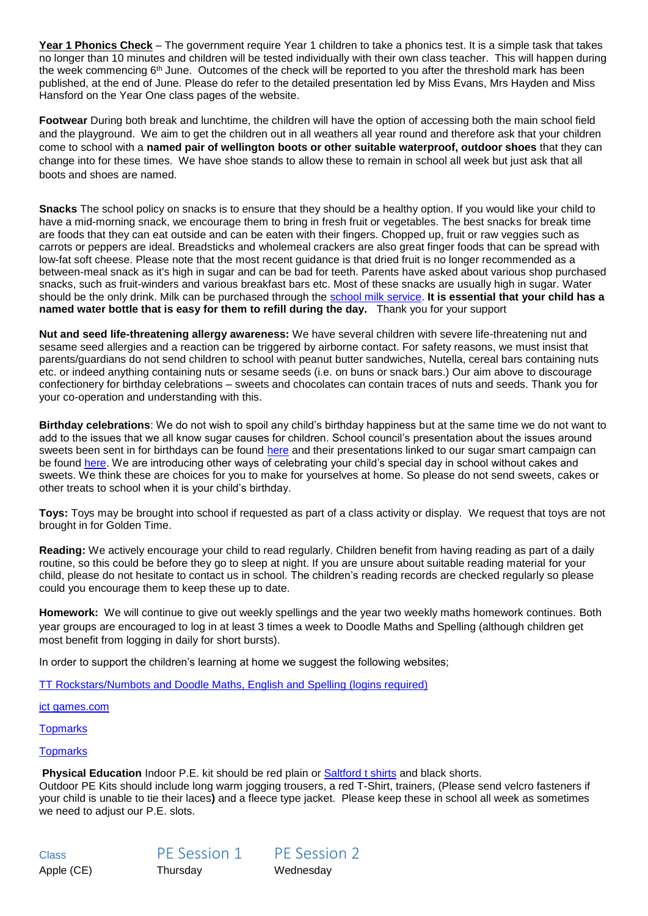**Year 1 Phonics Check** – The government require Year 1 children to take a phonics test. It is a simple task that takes no longer than 10 minutes and children will be tested individually with their own class teacher. This will happen during the week commencing  $6<sup>th</sup>$  June. Outcomes of the check will be reported to you after the threshold mark has been published, at the end of June. Please do refer to the detailed presentation led by Miss Evans, Mrs Hayden and Miss Hansford on the Year One class pages of the website.

**Footwear** During both break and lunchtime, the children will have the option of accessing both the main school field and the playground. We aim to get the children out in all weathers all year round and therefore ask that your children come to school with a **named pair of wellington boots or other suitable waterproof, outdoor shoes** that they can change into for these times. We have shoe stands to allow these to remain in school all week but just ask that all boots and shoes are named.

**Snacks** The school policy on snacks is to ensure that they should be a healthy option. If you would like your child to have a mid-morning snack, we encourage them to bring in fresh fruit or vegetables. The best snacks for break time are foods that they can eat outside and can be eaten with their fingers. Chopped up, fruit or raw veggies such as carrots or peppers are ideal. Breadsticks and wholemeal crackers are also great finger foods that can be spread with low-fat soft cheese. Please note that the most recent guidance is that dried fruit is no longer recommended as a between-meal snack as it's high in sugar and can be bad for teeth. Parents have asked about various shop purchased snacks, such as fruit-winders and various breakfast bars etc. Most of these snacks are usually high in sugar. Water should be the only drink. Milk can be purchased through the [school milk service.](http://www.saltfordschool.org.uk/assets/uploads/documents/office/General%20Parent%20Letter%20Milk%20Feb%202018.pdf) **It is essential that your child has a named water bottle that is easy for them to refill during the day.** Thank you for your support

**Nut and seed life-threatening allergy awareness:** We have several children with severe life-threatening nut and sesame seed allergies and a reaction can be triggered by airborne contact. For safety reasons, we must insist that parents/guardians do not send children to school with peanut butter sandwiches, Nutella, cereal bars containing nuts etc. or indeed anything containing nuts or sesame seeds (i.e. on buns or snack bars.) Our aim above to discourage confectionery for birthday celebrations – sweets and chocolates can contain traces of nuts and seeds. Thank you for your co-operation and understanding with this.

**Birthday celebrations**: We do not wish to spoil any child's birthday happiness but at the same time we do not want to add to the issues that we all know sugar causes for children. School council's presentation about the issues around sweets been sent in for birthdays can be found [here](https://www.saltfordschool.org.uk/assets/uploads/documents/children/Healthy%20eating.pdf) and their presentations linked to our sugar smart campaign can be found [here.](https://www.saltfordschool.org.uk/assets/uploads/images/children/Sugar%20Smart%20Assembly%201%20-%20Saltford%20School.pdf) We are introducing other ways of celebrating your child's special day in school without cakes and sweets. We think these are choices for you to make for yourselves at home. So please do not send sweets, cakes or other treats to school when it is your child's birthday.

**Toys:** Toys may be brought into school if requested as part of a class activity or display. We request that toys are not brought in for Golden Time.

**Reading:** We actively encourage your child to read regularly. Children benefit from having reading as part of a daily routine, so this could be before they go to sleep at night. If you are unsure about suitable reading material for your child, please do not hesitate to contact us in school. The children's reading records are checked regularly so please could you encourage them to keep these up to date.

**Homework:** We will continue to give out weekly spellings and the year two weekly maths homework continues. Both year groups are encouraged to log in at least 3 times a week to Doodle Maths and Spelling (although children get most benefit from logging in daily for short bursts).

In order to support the children's learning at home we suggest the following websites;

[TT Rockstars/](https://play.ttrockstars.com/auth/school/student)Numbots and [Doodle Maths,](https://www.doodlemaths.com/students/) English and Spelling (logins required)

[ict games.com](http://www.ictgames.com/)

**[Topmarks](https://www.topmarks.co.uk/)** 

**[Topmarks](https://www.topmarks.co.uk/)** 

**Physical Education** Indoor P.E. kit should be red plain or [Saltford t shirts](https://www.saltfordschool.org.uk/the-office/) and black shorts.

Outdoor PE Kits should include long warm jogging trousers, a red T-Shirt, trainers, (Please send velcro fasteners if your child is unable to tie their laces**)** and a fleece type jacket. Please keep these in school all week as sometimes we need to adjust our P.E. slots.

Class PE Session 1 PE Session 2 Apple (CE) Thursday Wednesday